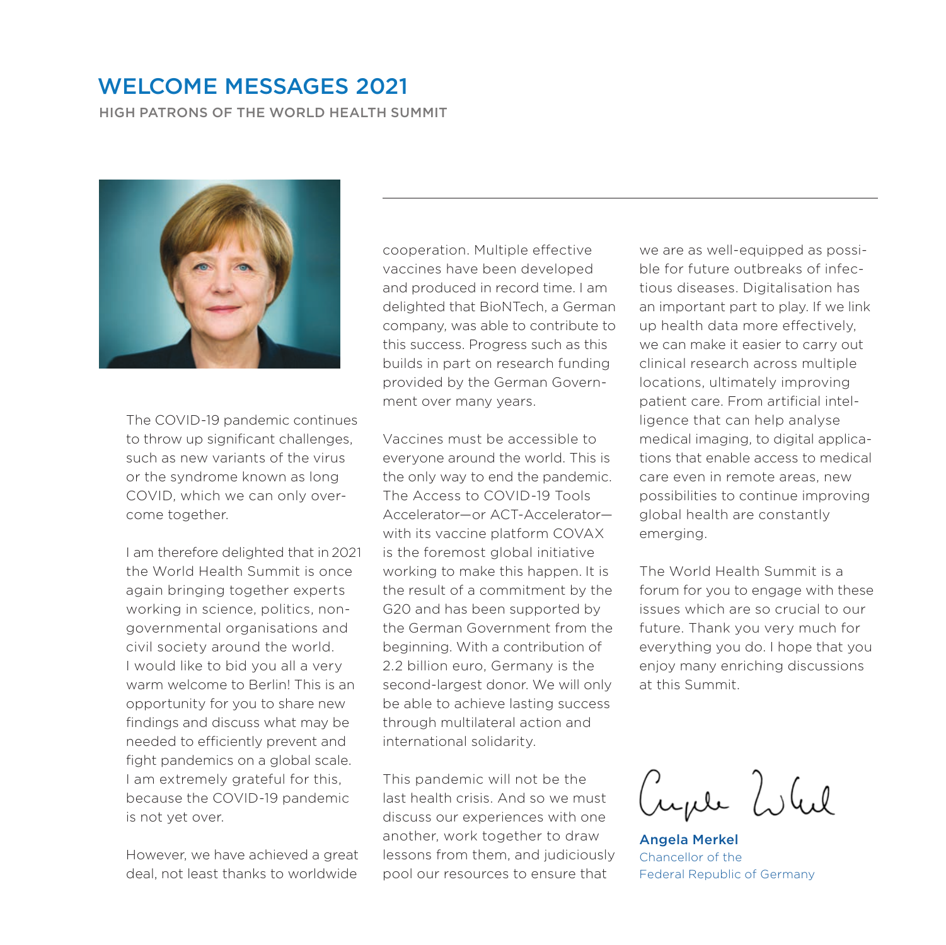# WELCOME MESSAGES 2021

HIGH PATRONS OF THE WORLD HEALTH SUMMIT



The COVID-19 pandemic continues to throw up significant challenges, such as new variants of the virus or the syndrome known as long COVID, which we can only overcome together.

I am therefore delighted that in 2021 the World Health Summit is once again bringing together experts working in science, politics, nongovernmental organisations and civil society around the world. I would like to bid you all a very warm welcome to Berlin! This is an opportunity for you to share new findings and discuss what may be needed to efficiently prevent and fight pandemics on a global scale. I am extremely grateful for this, because the COVID‑19 pandemic is not yet over.

However, we have achieved a great deal, not least thanks to worldwide

cooperation. Multiple effective vaccines have been developed and produced in record time. I am delighted that BioNTech, a German company, was able to contribute to this success. Progress such as this builds in part on research funding provided by the German Government over many years.

Vaccines must be accessible to everyone around the world. This is the only way to end the pandemic. The Access to COVID‑19 Tools Accelerator—or ACT‑Accelerator with its vaccine platform COVAX is the foremost global initiative working to make this happen. It is the result of a commitment by the G20 and has been supported by the German Government from the beginning. With a contribution of 2.2 billion euro, Germany is the second-largest donor. We will only be able to achieve lasting success through multilateral action and international solidarity.

This pandemic will not be the last health crisis. And so we must discuss our experiences with one another, work together to draw lessons from them, and judiciously pool our resources to ensure that

we are as well-equipped as possible for future outbreaks of infectious diseases. Digitalisation has an important part to play. If we link up health data more effectively, we can make it easier to carry out clinical research across multiple locations, ultimately improving patient care. From artificial intelligence that can help analyse medical imaging, to digital applications that enable access to medical care even in remote areas, new possibilities to continue improving global health are constantly emerging.

The World Health Summit is a forum for you to engage with these issues which are so crucial to our future. Thank you very much for everything you do. I hope that you enjoy many enriching discussions at this Summit.

ayer Whil

Angela Merkel Chancellor of the Federal Republic of Germany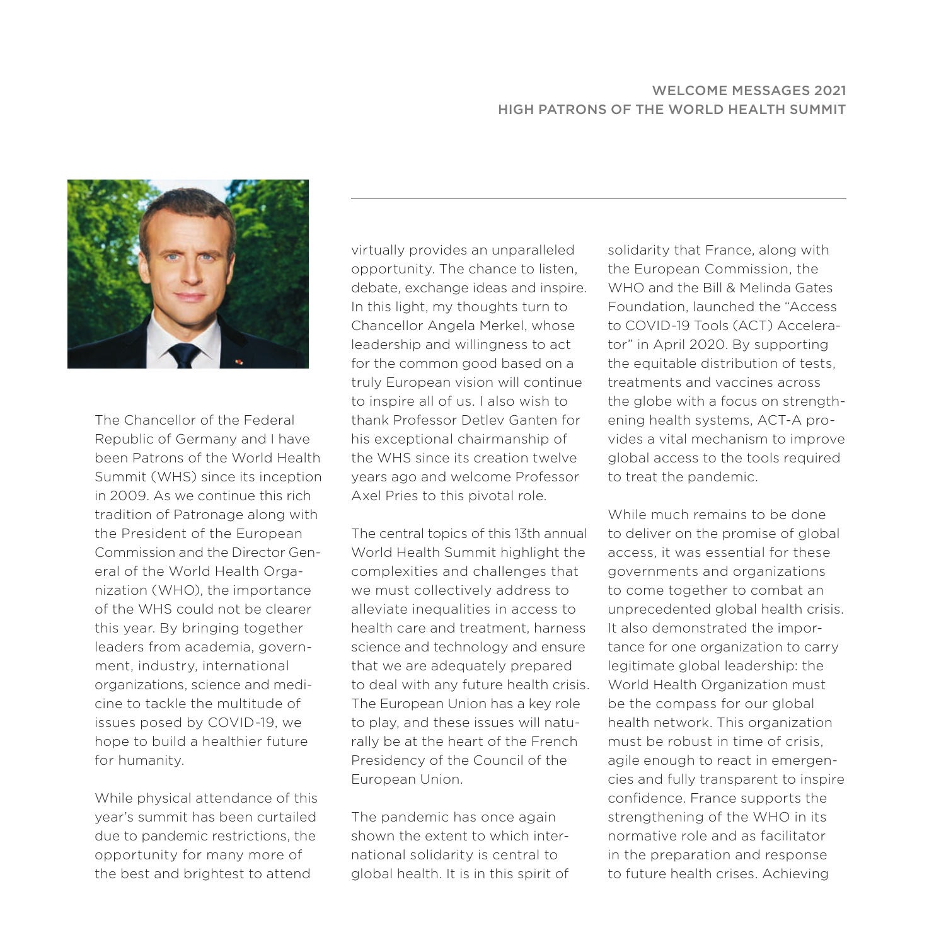#### WELCOME MESSAGES 2021 HIGH PATRONS OF THE WORLD HEALTH SUMMIT



The Chancellor of the Federal Republic of Germany and I have been Patrons of the World Health Summit (WHS) since its inception in 2009. As we continue this rich tradition of Patronage along with the President of the European Commission and the Director General of the World Health Organization (WHO), the importance of the WHS could not be clearer this year. By bringing together leaders from academia, government, industry, international organizations, science and medicine to tackle the multitude of issues posed by COVID-19, we hope to build a healthier future for humanity.

While physical attendance of this year's summit has been curtailed due to pandemic restrictions, the opportunity for many more of the best and brightest to attend

virtually provides an unparalleled opportunity. The chance to listen, debate, exchange ideas and inspire. In this light, my thoughts turn to Chancellor Angela Merkel, whose leadership and willingness to act for the common good based on a truly European vision will continue to inspire all of us. I also wish to thank Professor Detlev Ganten for his exceptional chairmanship of the WHS since its creation twelve years ago and welcome Professor Axel Pries to this pivotal role.

The central topics of this 13th annual World Health Summit highlight the complexities and challenges that we must collectively address to alleviate inequalities in access to health care and treatment, harness science and technology and ensure that we are adequately prepared to deal with any future health crisis. The European Union has a key role to play, and these issues will naturally be at the heart of the French Presidency of the Council of the European Union.

The pandemic has once again shown the extent to which international solidarity is central to global health. It is in this spirit of

solidarity that France, along with the European Commission, the WHO and the Bill & Melinda Gates Foundation, launched the "Access to COVID-19 Tools (ACT) Accelerator" in April 2020. By supporting the equitable distribution of tests, treatments and vaccines across the globe with a focus on strengthening health systems, ACT-A provides a vital mechanism to improve global access to the tools required to treat the pandemic.

While much remains to be done to deliver on the promise of global access, it was essential for these governments and organizations to come together to combat an unprecedented global health crisis. It also demonstrated the importance for one organization to carry legitimate global leadership: the World Health Organization must be the compass for our global health network. This organization must be robust in time of crisis, agile enough to react in emergencies and fully transparent to inspire confidence. France supports the strengthening of the WHO in its normative role and as facilitator in the preparation and response to future health crises. Achieving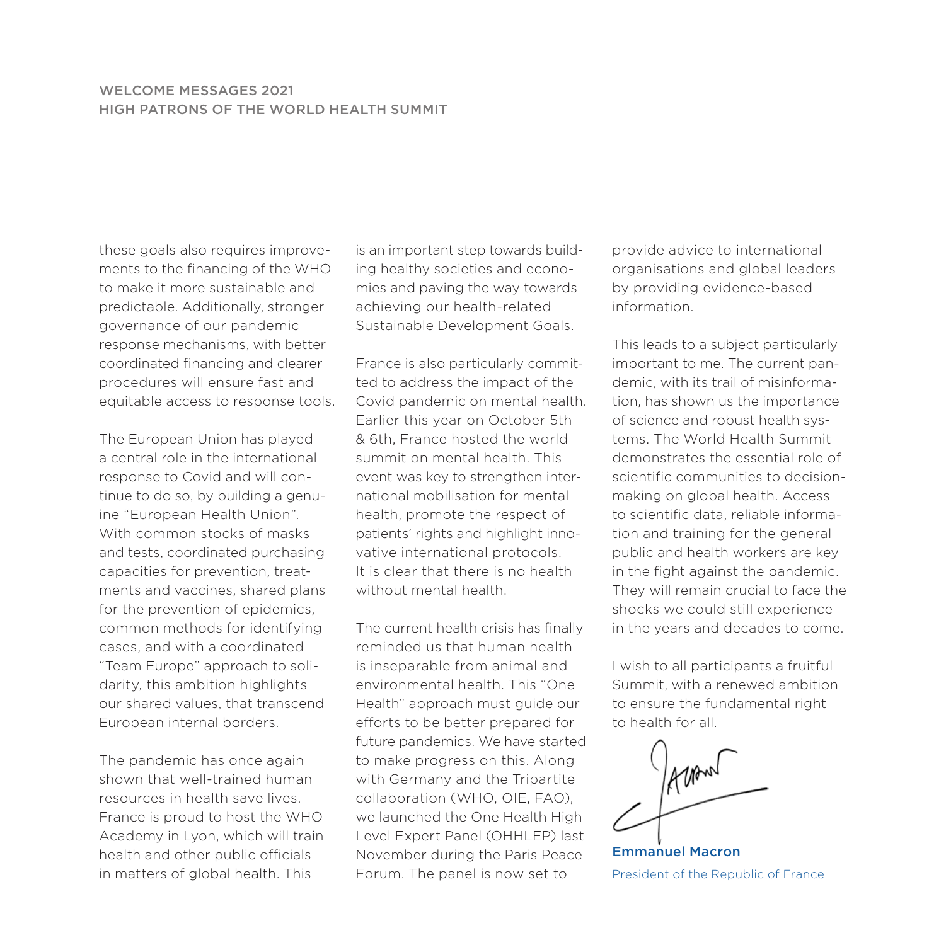## WELCOME MESSAGES 2021 HIGH PATRONS OF THE WORLD HEALTH SUMMIT

these goals also requires improvements to the financing of the WHO to make it more sustainable and predictable. Additionally, stronger governance of our pandemic response mechanisms, with better coordinated financing and clearer procedures will ensure fast and equitable access to response tools.

The European Union has played a central role in the international response to Covid and will continue to do so, by building a genuine "European Health Union". With common stocks of masks and tests, coordinated purchasing capacities for prevention, treatments and vaccines, shared plans for the prevention of epidemics, common methods for identifying cases, and with a coordinated "Team Europe" approach to soli‑ darity, this ambition highlights our shared values, that transcend European internal borders.

The pandemic has once again shown that well-trained human resources in health save lives. France is proud to host the WHO Academy in Lyon, which will train health and other public officials in matters of global health. This

is an important step towards building healthy societies and economies and paving the way towards achieving our health-related Sustainable Development Goals.

France is also particularly committed to address the impact of the Covid pandemic on mental health. Earlier this year on October 5th & 6th, France hosted the world summit on mental health. This event was key to strengthen international mobilisation for mental health, promote the respect of patients' rights and highlight innovative international protocols. It is clear that there is no health without mental health

The current health crisis has finally reminded us that human health is inseparable from animal and environmental health. This "One Health" approach must guide our efforts to be better prepared for future pandemics. We have started to make progress on this. Along with Germany and the Tripartite collaboration (WHO, OIE, FAO), we launched the One Health High Level Expert Panel (OHHLEP) last November during the Paris Peace Forum. The panel is now set to

provide advice to international organisations and global leaders by providing evidence-based information.

This leads to a subject particularly important to me. The current pandemic, with its trail of misinformation, has shown us the importance of science and robust health systems. The World Health Summit demonstrates the essential role of scientific communities to decisionmaking on global health. Access to scientific data, reliable information and training for the general public and health workers are key in the fight against the pandemic. They will remain crucial to face the shocks we could still experience in the years and decades to come.

I wish to all participants a fruitful Summit, with a renewed ambition to ensure the fundamental right to health for all.

Emmanuel Macron President of the Republic of France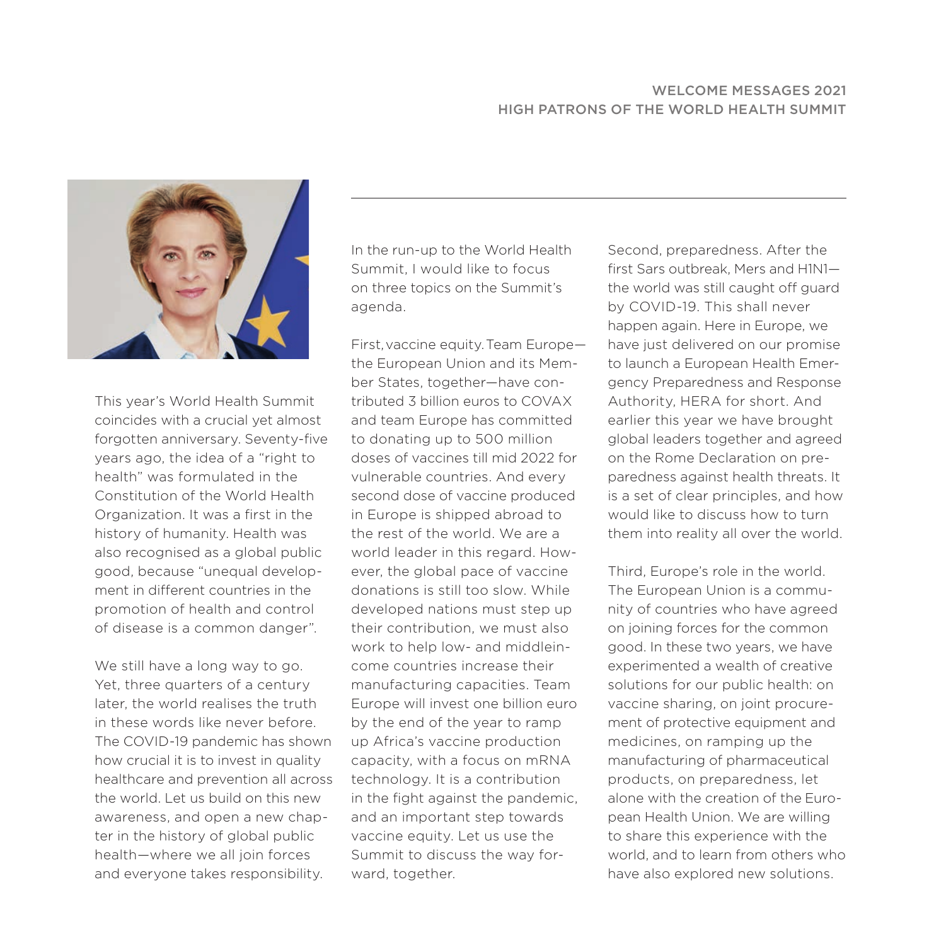#### WELCOME MESSAGES 2021 HIGH PATRONS OF THE WORLD HEALTH SUMMIT



This year's World Health Summit coincides with a crucial yet almost forgotten anniversary. Seventy-five years ago, the idea of a "right to health" was formulated in the Constitution of the World Health Organization. It was a first in the history of humanity. Health was also recognised as a global public good, because "unequal development in different countries in the promotion of health and control of disease is a common danger".

We still have a long way to go. Yet, three quarters of a century later, the world realises the truth in these words like never before. The COVID-19 pandemic has shown how crucial it is to invest in quality healthcare and prevention all across the world. Let us build on this new awareness, and open a new chapter in the history of global public health—where we all join forces and everyone takes responsibility.

In the run-up to the World Health Summit, I would like to focus on three topics on the Summit's agenda.

First, vaccine equity. Team Europe the European Union and its Member States, together—have contributed 3 billion euros to COVAX and team Europe has committed to donating up to 500 million doses of vaccines till mid 2022 for vulnerable countries. And every second dose of vaccine produced in Europe is shipped abroad to the rest of the world. We are a world leader in this regard. However, the global pace of vaccine donations is still too slow. While developed nations must step up their contribution, we must also work to help low- and middleincome countries increase their manufacturing capacities. Team Europe will invest one billion euro by the end of the year to ramp up Africa's vaccine production capacity, with a focus on mRNA technology. It is a contribution in the fight against the pandemic, and an important step towards vaccine equity. Let us use the Summit to discuss the way forward, together.

Second, preparedness. After the first Sars outbreak, Mers and H1N1 the world was still caught off guard by COVID-19. This shall never happen again. Here in Europe, we have just delivered on our promise to launch a European Health Emergency Preparedness and Response Authority, HERA for short. And earlier this year we have brought global leaders together and agreed on the Rome Declaration on preparedness against health threats. It is a set of clear principles, and how would like to discuss how to turn them into reality all over the world.

Third, Europe's role in the world. The European Union is a community of countries who have agreed on joining forces for the common good. In these two years, we have experimented a wealth of creative solutions for our public health: on vaccine sharing, on joint procurement of protective equipment and medicines, on ramping up the manufacturing of pharmaceutical products, on preparedness, let alone with the creation of the European Health Union. We are willing to share this experience with the world, and to learn from others who have also explored new solutions.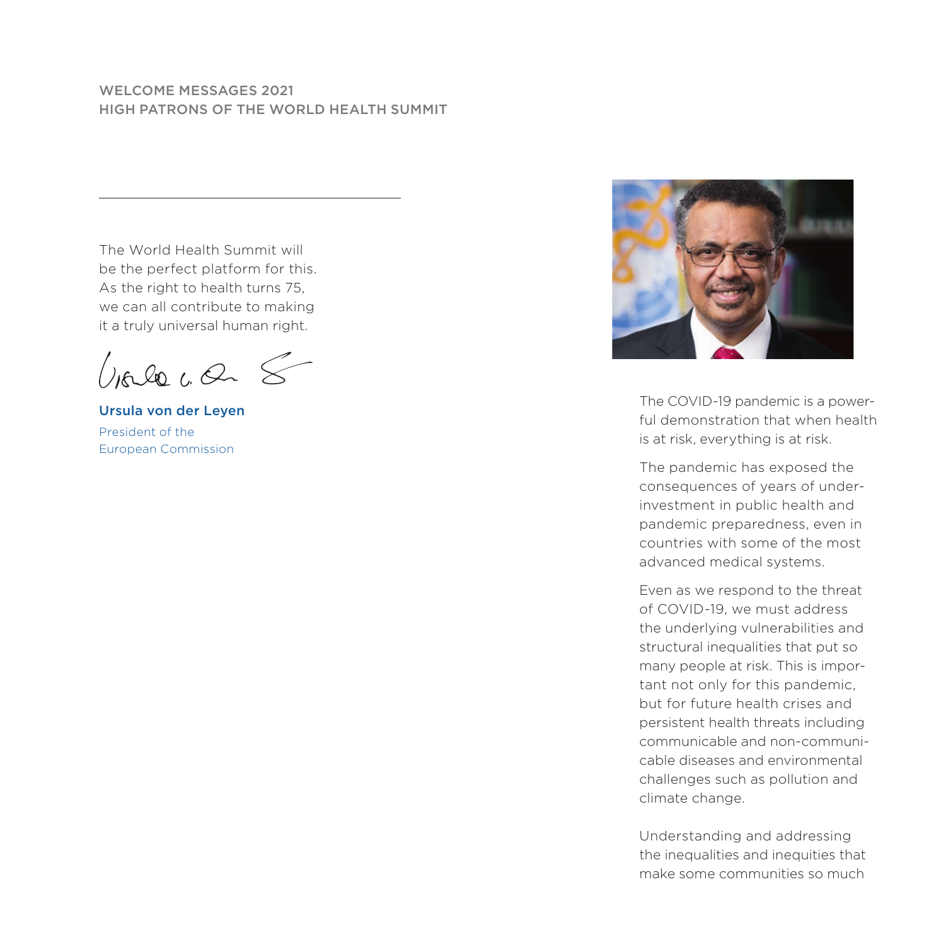## WELCOME MESSAGES 2021 HIGH PATRONS OF THE WORLD HEALTH SUMMIT

The World Health Summit will be the perfect platform for this. As the right to health turns 75, we can all contribute to making it a truly universal human right.

Viele ca 8

Ursula von der Leyen President of the European Commission



The COVID-19 pandemic is a powerful demonstration that when health is at risk, everything is at risk.

The pandemic has exposed the consequences of years of underinvestment in public health and pandemic preparedness, even in countries with some of the most advanced medical systems.

Even as we respond to the threat of COVID-19, we must address the underlying vulnerabilities and structural inequalities that put so many people at risk. This is important not only for this pandemic, but for future health crises and persistent health threats including communicable and non-communicable diseases and environmental challenges such as pollution and climate change.

Understanding and addressing the inequalities and inequities that make some communities so much